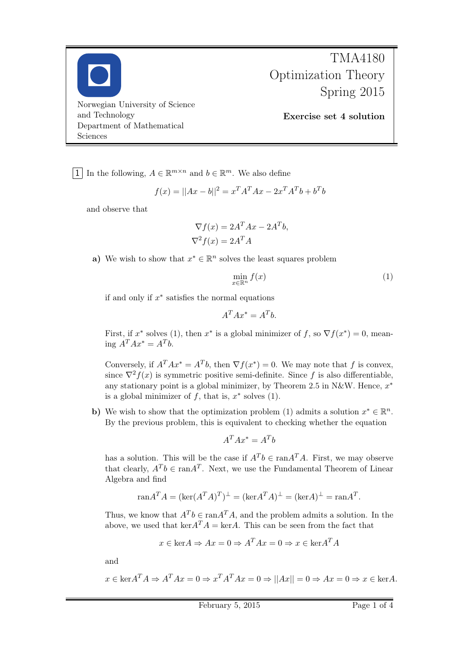

## TMA4180 Optimization Theory Spring 2015

Exercise set 4 solution

1 In the following,  $A \in \mathbb{R}^{m \times n}$  and  $b \in \mathbb{R}^m$ . We also define

$$
f(x) = ||Ax - b||^2 = x^T A^T A x - 2x^T A^T b + b^T b
$$

and observe that

$$
\nabla f(x) = 2A^T A x - 2A^T b,
$$
  

$$
\nabla^2 f(x) = 2A^T A
$$

a) We wish to show that  $x^* \in \mathbb{R}^n$  solves the least squares problem

$$
\min_{x \in \mathbb{R}^n} f(x) \tag{1}
$$

if and only if  $x^*$  satisfies the normal equations

$$
A^T A x^* = A^T b.
$$

First, if  $x^*$  solves (1), then  $x^*$  is a global minimizer of f, so  $\nabla f(x^*) = 0$ , meaning  $A^T A x^* = A^T b$ .

Conversely, if  $A^T A x^* = A^T b$ , then  $\nabla f(x^*) = 0$ . We may note that f is convex, since  $\nabla^2 f(x)$  is symmetric positive semi-definite. Since f is also differentiable, any stationary point is a global minimizer, by Theorem 2.5 in N&W. Hence,  $x^*$ is a global minimizer of  $f$ , that is,  $x^*$  solves (1).

b) We wish to show that the optimization problem (1) admits a solution  $x^* \in \mathbb{R}^n$ . By the previous problem, this is equivalent to checking whether the equation

$$
A^T A x^* = A^T b
$$

has a solution. This will be the case if  $A^T b \in \text{ran} A^T A$ . First, we may observe that clearly,  $A^T b \in \text{ran} A^T$ . Next, we use the Fundamental Theorem of Linear Algebra and find

$$
\text{ran} A^T A = (\text{ker}(A^T A)^T)^{\perp} = (\text{ker} A^T A)^{\perp} = (\text{ker} A)^{\perp} = \text{ran} A^T.
$$

Thus, we know that  $A^T b \in \text{ran} A^T A$ , and the problem admits a solution. In the above, we used that  $\ker A^T A = \ker A$ . This can be seen from the fact that

$$
x \in \text{ker}A \Rightarrow Ax = 0 \Rightarrow A^T A x = 0 \Rightarrow x \in \text{ker}A^T A
$$

and

$$
x \in \text{ker} A^T A \Rightarrow A^T A x = 0 \Rightarrow x^T A^T A x = 0 \Rightarrow ||Ax|| = 0 \Rightarrow Ax = 0 \Rightarrow x \in \text{ker} A.
$$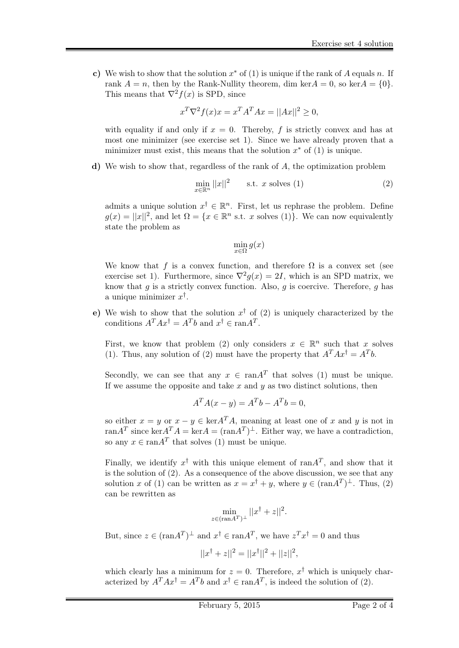c) We wish to show that the solution  $x^*$  of (1) is unique if the rank of A equals n. If rank  $A = n$ , then by the Rank-Nullity theorem, dim ker $A = 0$ , so ker $A = \{0\}$ . This means that  $\nabla^2 f(x)$  is SPD, since

$$
x^T \nabla^2 f(x)x = x^T A^T A x = ||Ax||^2 \ge 0,
$$

with equality if and only if  $x = 0$ . Thereby, f is strictly convex and has at most one minimizer (see exercise set 1). Since we have already proven that a minimizer must exist, this means that the solution  $x^*$  of  $(1)$  is unique.

d) We wish to show that, regardless of the rank of A, the optimization problem

$$
\min_{x \in \mathbb{R}^n} ||x||^2 \qquad \text{s.t. } x \text{ solves (1)}
$$
\n
$$
(2)
$$

admits a unique solution  $x^{\dagger} \in \mathbb{R}^{n}$ . First, let us rephrase the problem. Define  $g(x) = ||x||^2$ , and let  $\Omega = \{x \in \mathbb{R}^n \text{ s.t. } x \text{ solves (1)}\}.$  We can now equivalently state the problem as

$$
\min_{x \in \Omega} g(x)
$$

We know that f is a convex function, and therefore  $\Omega$  is a convex set (see exercise set 1). Furthermore, since  $\nabla^2 g(x) = 2I$ , which is an SPD matrix, we know that  $g$  is a strictly convex function. Also,  $g$  is coercive. Therefore,  $g$  has a unique minimizer  $x^{\dagger}$ .

e) We wish to show that the solution  $x^{\dagger}$  of (2) is uniquely characterized by the conditions  $A^T A x^{\dagger} = A^T b$  and  $x^{\dagger} \in \text{ran} A^T$ .

First, we know that problem (2) only considers  $x \in \mathbb{R}^n$  such that x solves (1). Thus, any solution of (2) must have the property that  $A^T A x^{\dagger} = A^T b$ .

Secondly, we can see that any  $x \in \text{ran} A^T$  that solves (1) must be unique. If we assume the opposite and take  $x$  and  $y$  as two distinct solutions, then

$$
A^T A(x - y) = A^T b - A^T b = 0,
$$

so either  $x = y$  or  $x - y \in \text{ker} A^T A$ , meaning at least one of x and y is not in ran $A^T$  since ker $A^T A = \text{ker} A = (\text{ran} A^T)^{\perp}$ . Either way, we have a contradiction, so any  $x \in \text{ran} A^T$  that solves (1) must be unique.

Finally, we identify  $x^{\dagger}$  with this unique element of ran $A^T$ , and show that it is the solution of (2). As a consequence of the above discussion, we see that any solution x of (1) can be written as  $x = x^{\dagger} + y$ , where  $y \in (\text{ran} A^T)^{\perp}$ . Thus, (2) can be rewritten as

$$
\min_{z \in (\text{ran} A^T)^\perp} ||x^\dagger + z||^2.
$$

But, since  $z \in (\text{ran} A^T)^{\perp}$  and  $x^{\dagger} \in \text{ran} A^T$ , we have  $z^T x^{\dagger} = 0$  and thus

$$
||x^{\dagger} + z||^2 = ||x^{\dagger}||^2 + ||z||^2,
$$

which clearly has a minimum for  $z = 0$ . Therefore,  $x^{\dagger}$  which is uniquely characterized by  $A^T A x^{\dagger} = A^T b$  and  $x^{\dagger} \in \text{ran} A^T$ , is indeed the solution of (2).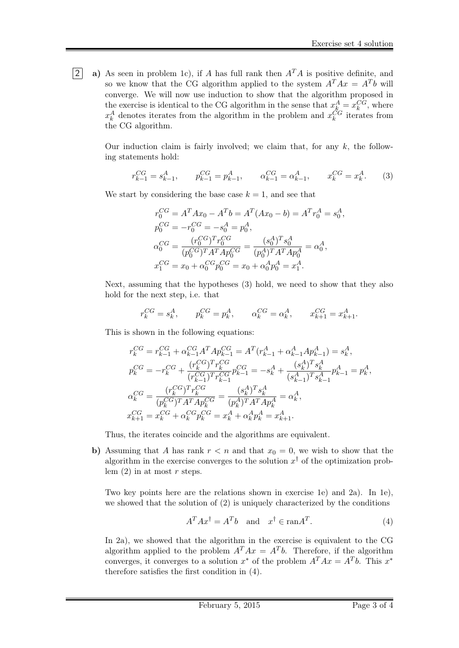2 a) As seen in problem 1c), if A has full rank then  $A<sup>T</sup>A$  is positive definite, and so we know that the CG algorithm applied to the system  $A^T A x = A^T b$  will converge. We will now use induction to show that the algorithm proposed in the exercise is identical to the CG algorithm in the sense that  $x_k^A = x_k^{CG}$ , where  $x_k^A$  denotes iterates from the algorithm in the problem and  $x_k^{CG}$  iterates from the CG algorithm.

> Our induction claim is fairly involved; we claim that, for any  $k$ , the following statements hold:

$$
r_{k-1}^{CG} = s_{k-1}^A, \qquad p_{k-1}^{CG} = p_{k-1}^A, \qquad \alpha_{k-1}^{CG} = \alpha_{k-1}^A, \qquad x_k^{CG} = x_k^A. \tag{3}
$$

We start by considering the base case  $k = 1$ , and see that

$$
r_0^{CG} = A^T A x_0 - A^T b = A^T (A x_0 - b) = A^T r_0^A = s_0^A,
$$
  
\n
$$
p_0^{CG} = -r_0^{CG} = -s_0^A = p_0^A,
$$
  
\n
$$
\alpha_0^{CG} = \frac{(r_0^{CG})^T r_0^{CG}}{(p_0^{CG})^T A^T A p_0^{CG}} = \frac{(s_0^A)^T s_0^A}{(p_0^A)^T A^T A p_0^A} = \alpha_0^A,
$$
  
\n
$$
x_1^{CG} = x_0 + \alpha_0^{CG} p_0^{CG} = x_0 + \alpha_0^A p_0^A = x_1^A.
$$

Next, assuming that the hypotheses (3) hold, we need to show that they also hold for the next step, i.e. that

$$
r_k^{CG} = s_k^A, \qquad p_k^{CG} = p_k^A, \qquad \alpha_k^{CG} = \alpha_k^A, \qquad x_{k+1}^{CG} = x_{k+1}^A.
$$

This is shown in the following equations:

$$
\begin{split} &r^{CG}_{k} = r^{CG}_{k-1} + \alpha^{CG}_{k-1} A^T A p^{CG}_{k-1} = A^T (r^{A}_{k-1} + \alpha^{A}_{k-1} A p^{A}_{k-1}) = s^{A}_{k}, \\ &p^{CG}_{k} = -r^{CG}_{k} + \frac{(r^{CG}_{k})^T r^{CG}_{k}}{(r^{CG}_{k-1})^T r^{CG}_{k-1}} p^{CG}_{k-1} = -s^{A}_{k} + \frac{(s^{A}_{k})^T s^{A}_{k}}{(s^{A}_{k-1})^T s^{A}_{k-1}} p^{A}_{k-1} = p^{A}_{k}, \\ &\alpha^{CG}_{k} = \frac{(r^{CG}_{k})^T r^{CG}_{k}}{(p^{CG}_{k})^T A^T A p^{CG}_{k}} = \frac{(s^{A}_{k})^T s^{A}_{k}}{(p^{A}_{k})^T A^T A p^{A}_{k}} = \alpha^{A}_{k}, \\ &x^{CG}_{k+1} = x^{CG}_{k} + \alpha^{CG}_{k} p^{CG}_{k} = x^{A}_{k} + \alpha^{A}_{k} p^{A}_{k} = x^{A}_{k+1}. \end{split}
$$

Thus, the iterates coincide and the algorithms are equivalent.

b) Assuming that A has rank  $r < n$  and that  $x<sub>0</sub> = 0$ , we wish to show that the algorithm in the exercise converges to the solution  $x^{\dagger}$  of the optimization problem  $(2)$  in at most r steps.

Two key points here are the relations shown in exercise 1e) and 2a). In 1e), we showed that the solution of (2) is uniquely characterized by the conditions

$$
A^T A x^{\dagger} = A^T b \quad \text{and} \quad x^{\dagger} \in \text{ran} A^T. \tag{4}
$$

In 2a), we showed that the algorithm in the exercise is equivalent to the CG algorithm applied to the problem  $A^T A x = A^T b$ . Therefore, if the algorithm converges, it converges to a solution  $x^*$  of the problem  $A^T A x = A^T b$ . This  $x^*$ therefore satisfies the first condition in (4).